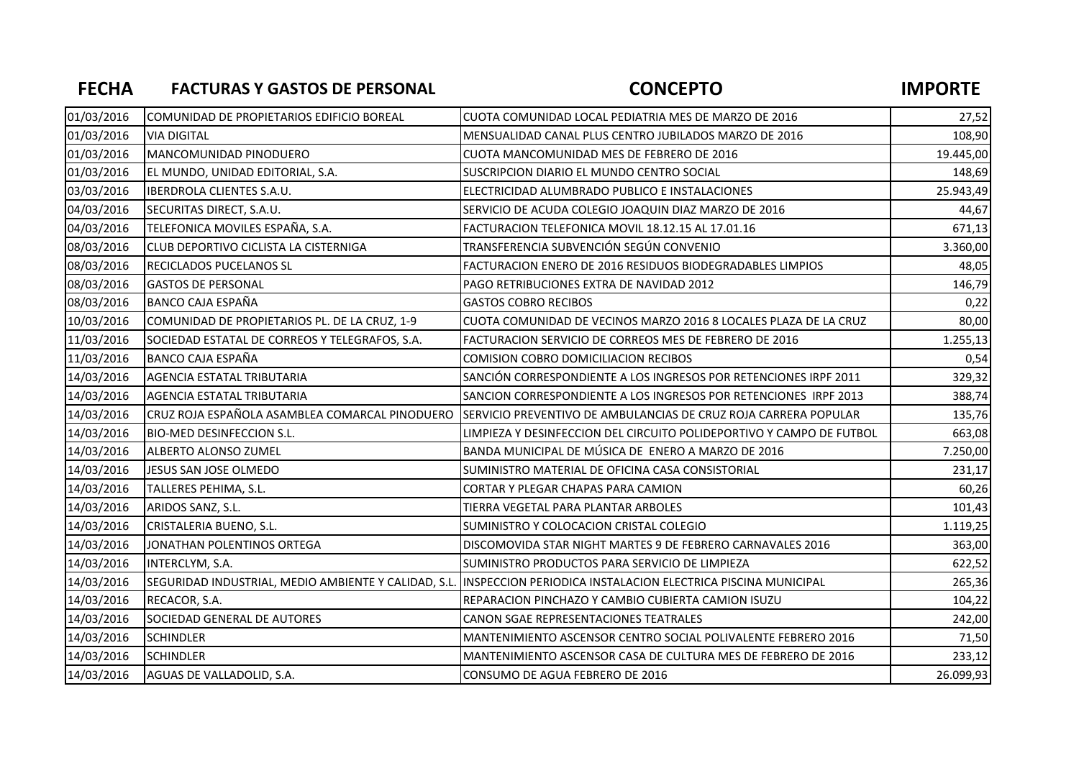## FECHA FACTURAS Y GASTOS DE PERSONAL CONCEPTO CONCEPTO

| 01/03/2016 | COMUNIDAD DE PROPIETARIOS EDIFICIO BOREAL      | CUOTA COMUNIDAD LOCAL PEDIATRIA MES DE MARZO DE 2016                                                              | 27,52     |
|------------|------------------------------------------------|-------------------------------------------------------------------------------------------------------------------|-----------|
| 01/03/2016 | <b>VIA DIGITAL</b>                             | MENSUALIDAD CANAL PLUS CENTRO JUBILADOS MARZO DE 2016                                                             | 108,90    |
| 01/03/2016 | MANCOMUNIDAD PINODUERO                         | CUOTA MANCOMUNIDAD MES DE FEBRERO DE 2016                                                                         | 19.445,00 |
| 01/03/2016 | EL MUNDO, UNIDAD EDITORIAL, S.A.               | SUSCRIPCION DIARIO EL MUNDO CENTRO SOCIAL                                                                         | 148,69    |
| 03/03/2016 | <b>IBERDROLA CLIENTES S.A.U.</b>               | ELECTRICIDAD ALUMBRADO PUBLICO E INSTALACIONES                                                                    | 25.943,49 |
| 04/03/2016 | SECURITAS DIRECT, S.A.U.                       | SERVICIO DE ACUDA COLEGIO JOAQUIN DIAZ MARZO DE 2016                                                              | 44,67     |
| 04/03/2016 | TELEFONICA MOVILES ESPAÑA, S.A.                | FACTURACION TELEFONICA MOVIL 18.12.15 AL 17.01.16                                                                 | 671,13    |
| 08/03/2016 | CLUB DEPORTIVO CICLISTA LA CISTERNIGA          | TRANSFERENCIA SUBVENCIÓN SEGÚN CONVENIO                                                                           | 3.360,00  |
| 08/03/2016 | <b>RECICLADOS PUCELANOS SL</b>                 | FACTURACION ENERO DE 2016 RESIDUOS BIODEGRADABLES LIMPIOS                                                         | 48,05     |
| 08/03/2016 | <b>GASTOS DE PERSONAL</b>                      | PAGO RETRIBUCIONES EXTRA DE NAVIDAD 2012                                                                          | 146,79    |
| 08/03/2016 | <b>BANCO CAJA ESPAÑA</b>                       | <b>GASTOS COBRO RECIBOS</b>                                                                                       | 0,22      |
| 10/03/2016 | COMUNIDAD DE PROPIETARIOS PL. DE LA CRUZ, 1-9  | CUOTA COMUNIDAD DE VECINOS MARZO 2016 8 LOCALES PLAZA DE LA CRUZ                                                  | 80,00     |
| 11/03/2016 | SOCIEDAD ESTATAL DE CORREOS Y TELEGRAFOS, S.A. | <b>FACTURACION SERVICIO DE CORREOS MES DE FEBRERO DE 2016</b>                                                     | 1.255,13  |
| 11/03/2016 | <b>BANCO CAJA ESPAÑA</b>                       | COMISION COBRO DOMICILIACION RECIBOS                                                                              | 0,54      |
| 14/03/2016 | AGENCIA ESTATAL TRIBUTARIA                     | SANCIÓN CORRESPONDIENTE A LOS INGRESOS POR RETENCIONES IRPF 2011                                                  | 329,32    |
| 14/03/2016 | AGENCIA ESTATAL TRIBUTARIA                     | SANCION CORRESPONDIENTE A LOS INGRESOS POR RETENCIONES IRPF 2013                                                  | 388,74    |
| 14/03/2016 | CRUZ ROJA ESPAÑOLA ASAMBLEA COMARCAL PINODUERO | <b>SERVICIO PREVENTIVO DE AMBULANCIAS DE CRUZ ROJA CARRERA POPULAR</b>                                            | 135,76    |
| 14/03/2016 | <b>BIO-MED DESINFECCION S.L.</b>               | LIMPIEZA Y DESINFECCION DEL CIRCUITO POLIDEPORTIVO Y CAMPO DE FUTBOL                                              | 663,08    |
| 14/03/2016 | ALBERTO ALONSO ZUMEL                           | BANDA MUNICIPAL DE MÚSICA DE ENERO A MARZO DE 2016                                                                | 7.250,00  |
| 14/03/2016 | JESUS SAN JOSE OLMEDO                          | SUMINISTRO MATERIAL DE OFICINA CASA CONSISTORIAL                                                                  | 231,17    |
| 14/03/2016 | TALLERES PEHIMA, S.L.                          | CORTAR Y PLEGAR CHAPAS PARA CAMION                                                                                | 60,26     |
| 14/03/2016 | ARIDOS SANZ, S.L.                              | TIERRA VEGETAL PARA PLANTAR ARBOLES                                                                               | 101,43    |
| 14/03/2016 | CRISTALERIA BUENO, S.L.                        | SUMINISTRO Y COLOCACION CRISTAL COLEGIO                                                                           | 1.119,25  |
| 14/03/2016 | JONATHAN POLENTINOS ORTEGA                     | DISCOMOVIDA STAR NIGHT MARTES 9 DE FEBRERO CARNAVALES 2016                                                        | 363,00    |
| 14/03/2016 | INTERCLYM, S.A.                                | SUMINISTRO PRODUCTOS PARA SERVICIO DE LIMPIEZA                                                                    | 622,52    |
| 14/03/2016 |                                                | SEGURIDAD INDUSTRIAL, MEDIO AMBIENTE Y CALIDAD, S.L. INSPECCION PERIODICA INSTALACION ELECTRICA PISCINA MUNICIPAL | 265,36    |
| 14/03/2016 | RECACOR, S.A.                                  | REPARACION PINCHAZO Y CAMBIO CUBIERTA CAMION ISUZU                                                                | 104,22    |
| 14/03/2016 | SOCIEDAD GENERAL DE AUTORES                    | CANON SGAE REPRESENTACIONES TEATRALES                                                                             | 242,00    |
| 14/03/2016 | <b>SCHINDLER</b>                               | MANTENIMIENTO ASCENSOR CENTRO SOCIAL POLIVALENTE FEBRERO 2016                                                     | 71,50     |
| 14/03/2016 | <b>SCHINDLER</b>                               | MANTENIMIENTO ASCENSOR CASA DE CULTURA MES DE FEBRERO DE 2016                                                     | 233,12    |
| 14/03/2016 | AGUAS DE VALLADOLID, S.A.                      | CONSUMO DE AGUA FEBRERO DE 2016                                                                                   | 26.099,93 |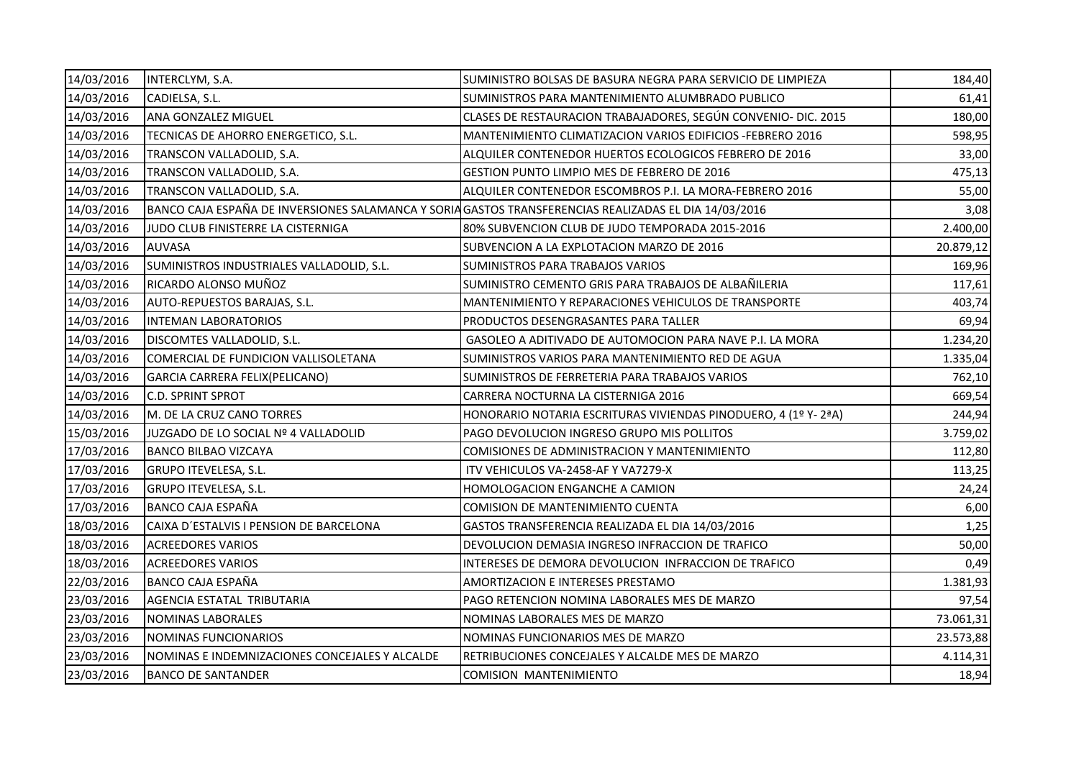| 14/03/2016 | INTERCLYM, S.A.                                | SUMINISTRO BOLSAS DE BASURA NEGRA PARA SERVICIO DE LIMPIEZA                                           | 184,40    |
|------------|------------------------------------------------|-------------------------------------------------------------------------------------------------------|-----------|
| 14/03/2016 | CADIELSA, S.L.                                 | SUMINISTROS PARA MANTENIMIENTO ALUMBRADO PUBLICO                                                      | 61,41     |
| 14/03/2016 | <b>ANA GONZALEZ MIGUEL</b>                     | CLASES DE RESTAURACION TRABAJADORES, SEGÚN CONVENIO- DIC. 2015                                        | 180,00    |
| 14/03/2016 | TECNICAS DE AHORRO ENERGETICO, S.L.            | <b>MANTENIMIENTO CLIMATIZACION VARIOS EDIFICIOS -FEBRERO 2016</b>                                     | 598,95    |
| 14/03/2016 | TRANSCON VALLADOLID, S.A.                      | ALQUILER CONTENEDOR HUERTOS ECOLOGICOS FEBRERO DE 2016                                                | 33,00     |
| 14/03/2016 | TRANSCON VALLADOLID, S.A.                      | <b>GESTION PUNTO LIMPIO MES DE FEBRERO DE 2016</b>                                                    | 475,13    |
| 14/03/2016 | TRANSCON VALLADOLID, S.A.                      | ALQUILER CONTENEDOR ESCOMBROS P.I. LA MORA-FEBRERO 2016                                               | 55,00     |
| 14/03/2016 |                                                | BANCO CAJA ESPAÑA DE INVERSIONES SALAMANCA Y SORIA GASTOS TRANSFERENCIAS REALIZADAS EL DIA 14/03/2016 | 3,08      |
| 14/03/2016 | JUDO CLUB FINISTERRE LA CISTERNIGA             | 80% SUBVENCION CLUB DE JUDO TEMPORADA 2015-2016                                                       | 2.400,00  |
| 14/03/2016 | <b>AUVASA</b>                                  | SUBVENCION A LA EXPLOTACION MARZO DE 2016                                                             | 20.879,12 |
| 14/03/2016 | SUMINISTROS INDUSTRIALES VALLADOLID, S.L.      | SUMINISTROS PARA TRABAJOS VARIOS                                                                      | 169,96    |
| 14/03/2016 | RICARDO ALONSO MUÑOZ                           | SUMINISTRO CEMENTO GRIS PARA TRABAJOS DE ALBAÑILERIA                                                  | 117,61    |
| 14/03/2016 | AUTO-REPUESTOS BARAJAS, S.L.                   | MANTENIMIENTO Y REPARACIONES VEHICULOS DE TRANSPORTE                                                  | 403,74    |
| 14/03/2016 | <b>INTEMAN LABORATORIOS</b>                    | PRODUCTOS DESENGRASANTES PARA TALLER                                                                  | 69,94     |
| 14/03/2016 | DISCOMTES VALLADOLID, S.L.                     | GASOLEO A ADITIVADO DE AUTOMOCION PARA NAVE P.I. LA MORA                                              | 1.234,20  |
| 14/03/2016 | COMERCIAL DE FUNDICION VALLISOLETANA           | SUMINISTROS VARIOS PARA MANTENIMIENTO RED DE AGUA                                                     | 1.335,04  |
| 14/03/2016 | GARCIA CARRERA FELIX(PELICANO)                 | SUMINISTROS DE FERRETERIA PARA TRABAJOS VARIOS                                                        | 762,10    |
| 14/03/2016 | <b>C.D. SPRINT SPROT</b>                       | CARRERA NOCTURNA LA CISTERNIGA 2016                                                                   | 669,54    |
| 14/03/2016 | M. DE LA CRUZ CANO TORRES                      | HONORARIO NOTARIA ESCRITURAS VIVIENDAS PINODUERO, 4 (1º Y-2ªA)                                        | 244,94    |
| 15/03/2016 | JUZGADO DE LO SOCIAL Nº 4 VALLADOLID           | PAGO DEVOLUCION INGRESO GRUPO MIS POLLITOS                                                            | 3.759,02  |
| 17/03/2016 | <b>BANCO BILBAO VIZCAYA</b>                    | COMISIONES DE ADMINISTRACION Y MANTENIMIENTO                                                          | 112,80    |
| 17/03/2016 | <b>GRUPO ITEVELESA, S.L.</b>                   | ITV VEHICULOS VA-2458-AF Y VA7279-X                                                                   | 113,25    |
| 17/03/2016 | <b>GRUPO ITEVELESA, S.L.</b>                   | HOMOLOGACION ENGANCHE A CAMION                                                                        | 24,24     |
| 17/03/2016 | <b>BANCO CAJA ESPAÑA</b>                       | COMISION DE MANTENIMIENTO CUENTA                                                                      | 6,00      |
| 18/03/2016 | CAIXA D'ESTALVIS I PENSION DE BARCELONA        | GASTOS TRANSFERENCIA REALIZADA EL DIA 14/03/2016                                                      | 1,25      |
| 18/03/2016 | <b>ACREEDORES VARIOS</b>                       | DEVOLUCION DEMASIA INGRESO INFRACCION DE TRAFICO                                                      | 50,00     |
| 18/03/2016 | <b>ACREEDORES VARIOS</b>                       | INTERESES DE DEMORA DEVOLUCION INFRACCION DE TRAFICO                                                  | 0,49      |
| 22/03/2016 | <b>BANCO CAJA ESPAÑA</b>                       | AMORTIZACION E INTERESES PRESTAMO                                                                     | 1.381,93  |
| 23/03/2016 | AGENCIA ESTATAL TRIBUTARIA                     | PAGO RETENCION NOMINA LABORALES MES DE MARZO                                                          | 97,54     |
| 23/03/2016 | <b>NOMINAS LABORALES</b>                       | NOMINAS LABORALES MES DE MARZO                                                                        | 73.061,31 |
| 23/03/2016 | NOMINAS FUNCIONARIOS                           | NOMINAS FUNCIONARIOS MES DE MARZO                                                                     | 23.573,88 |
| 23/03/2016 | NOMINAS E INDEMNIZACIONES CONCEJALES Y ALCALDE | RETRIBUCIONES CONCEJALES Y ALCALDE MES DE MARZO                                                       | 4.114,31  |
| 23/03/2016 | <b>BANCO DE SANTANDER</b>                      | COMISION MANTENIMIENTO                                                                                | 18,94     |